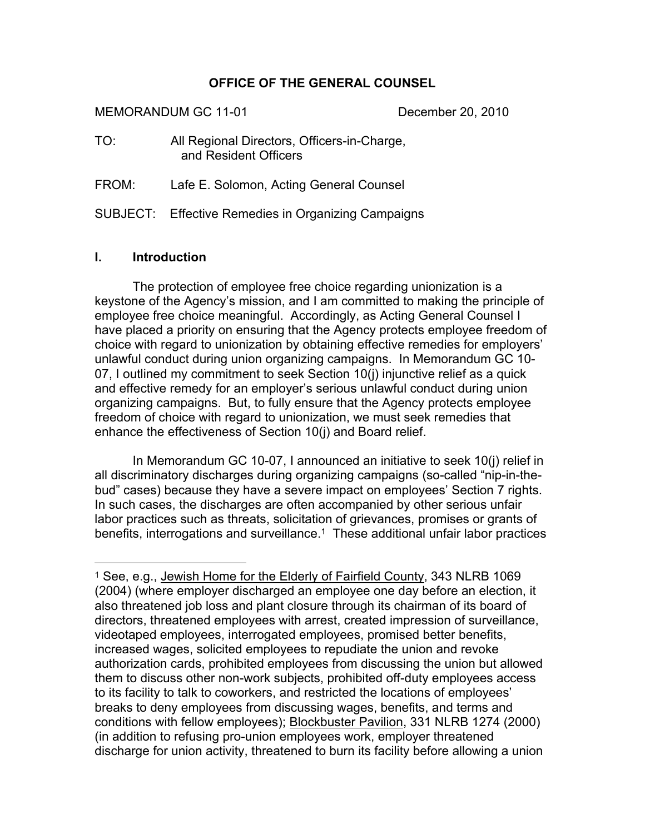#### **OFFICE OF THE GENERAL COUNSEL**

MEMORANDUM GC 11-01 December 20, 2010

TO: All Regional Directors, Officers-in-Charge, and Resident Officers

FROM: Lafe E. Solomon, Acting General Counsel

SUBJECT: Effective Remedies in Organizing Campaigns

#### **I. Introduction**

 $\overline{a}$ 

The protection of employee free choice regarding unionization is a keystone of the Agency's mission, and I am committed to making the principle of employee free choice meaningful. Accordingly, as Acting General Counsel I have placed a priority on ensuring that the Agency protects employee freedom of choice with regard to unionization by obtaining effective remedies for employers' unlawful conduct during union organizing campaigns. In Memorandum GC 10- 07, I outlined my commitment to seek Section 10(j) injunctive relief as a quick and effective remedy for an employer's serious unlawful conduct during union organizing campaigns. But, to fully ensure that the Agency protects employee freedom of choice with regard to unionization, we must seek remedies that enhance the effectiveness of Section 10(j) and Board relief.

In Memorandum GC 10-07, I announced an initiative to seek 10(j) relief in all discriminatory discharges during organizing campaigns (so-called "nip-in-thebud" cases) because they have a severe impact on employees' Section 7 rights. In such cases, the discharges are often accompanied by other serious unfair labor practices such as threats, solicitation of grievances, promises or grants of benefits, interrogations and surveillance. [1](#page-0-0) These additional unfair labor practices

<span id="page-0-0"></span><sup>1</sup> See, e.g., Jewish Home for the Elderly of Fairfield County, 343 NLRB 1069 (2004) (where employer discharged an employee one day before an election, it also threatened job loss and plant closure through its chairman of its board of directors, threatened employees with arrest, created impression of surveillance, videotaped employees, interrogated employees, promised better benefits, increased wages, solicited employees to repudiate the union and revoke authorization cards, prohibited employees from discussing the union but allowed them to discuss other non-work subjects, prohibited off-duty employees access to its facility to talk to coworkers, and restricted the locations of employees' breaks to deny employees from discussing wages, benefits, and terms and conditions with fellow employees); Blockbuster Pavilion, 331 NLRB 1274 (2000) (in addition to refusing pro-union employees work, employer threatened discharge for union activity, threatened to burn its facility before allowing a union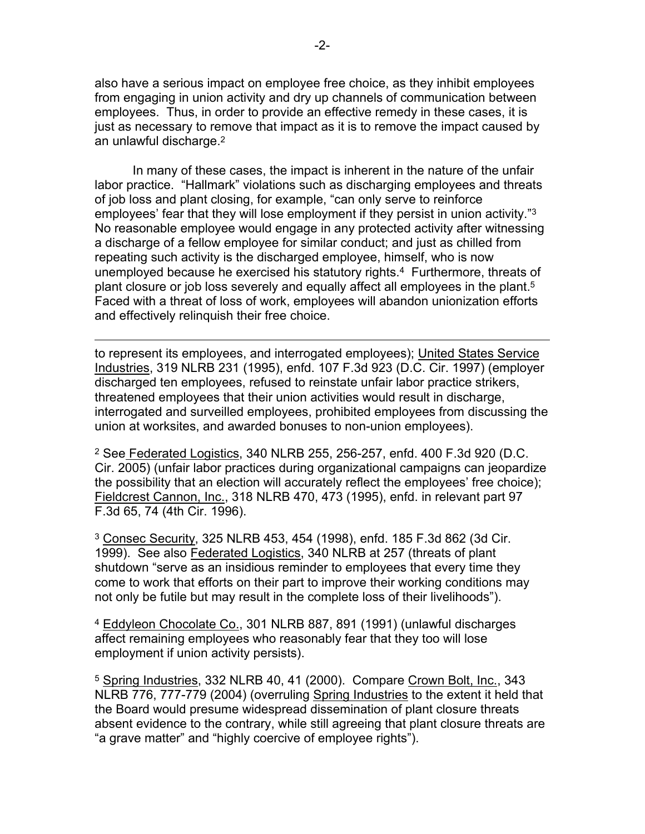also have a serious impact on employee free choice, as they inhibit employees from engaging in union activity and dry up channels of communication between employees. Thus, in order to provide an effective remedy in these cases, it is just as necessary to remove that impact as it is to remove the impact caused by an unlawful discharge. [2](#page-1-0)

In many of these cases, the impact is inherent in the nature of the unfair labor practice. "Hallmark" violations such as discharging employees and threats of job loss and plant closing, for example, "can only serve to reinforce employees' fear that they will lose employment if they persist in union activity."[3](#page-1-1) No reasonable employee would engage in any protected activity after witnessing a discharge of a fellow employee for similar conduct; and just as chilled from repeating such activity is the discharged employee, himself, who is now unemployed because he exercised his statutory rights.[4](#page-1-2) Furthermore, threats of plant closure or job loss severely and equally affect all employees in the plant.<sup>[5](#page-1-3)</sup> Faced with a threat of loss of work, employees will abandon unionization efforts and effectively relinquish their free choice.

to represent its employees, and interrogated employees); United States Service Industries, 319 NLRB 231 (1995), enfd. 107 F.3d 923 (D.C. Cir. 1997) (employer discharged ten employees, refused to reinstate unfair labor practice strikers, threatened employees that their union activities would result in discharge, interrogated and surveilled employees, prohibited employees from discussing the union at worksites, and awarded bonuses to non-union employees).

 $\overline{a}$ 

<span id="page-1-0"></span><sup>2</sup> See Federated Logistics, 340 NLRB 255, 256-257, enfd. 400 F.3d 920 (D.C. Cir. 2005) (unfair labor practices during organizational campaigns can jeopardize the possibility that an election will accurately reflect the employees' free choice); Fieldcrest Cannon, Inc., 318 NLRB 470, 473 (1995), enfd. in relevant part 97 F.3d 65, 74 (4th Cir. 1996).

<span id="page-1-1"></span><sup>3</sup> Consec Security, 325 NLRB 453, 454 (1998), enfd. 185 F.3d 862 (3d Cir. 1999). See also Federated Logistics, 340 NLRB at 257 (threats of plant shutdown "serve as an insidious reminder to employees that every time they come to work that efforts on their part to improve their working conditions may not only be futile but may result in the complete loss of their livelihoods").

<span id="page-1-2"></span><sup>4</sup> Eddyleon Chocolate Co., 301 NLRB 887, 891 (1991) (unlawful discharges affect remaining employees who reasonably fear that they too will lose employment if union activity persists).

<span id="page-1-3"></span><sup>5</sup> Spring Industries, 332 NLRB 40, 41 (2000). Compare Crown Bolt, Inc., 343 NLRB 776, 777-779 (2004) (overruling Spring Industries to the extent it held that the Board would presume widespread dissemination of plant closure threats absent evidence to the contrary, while still agreeing that plant closure threats are "a grave matter" and "highly coercive of employee rights").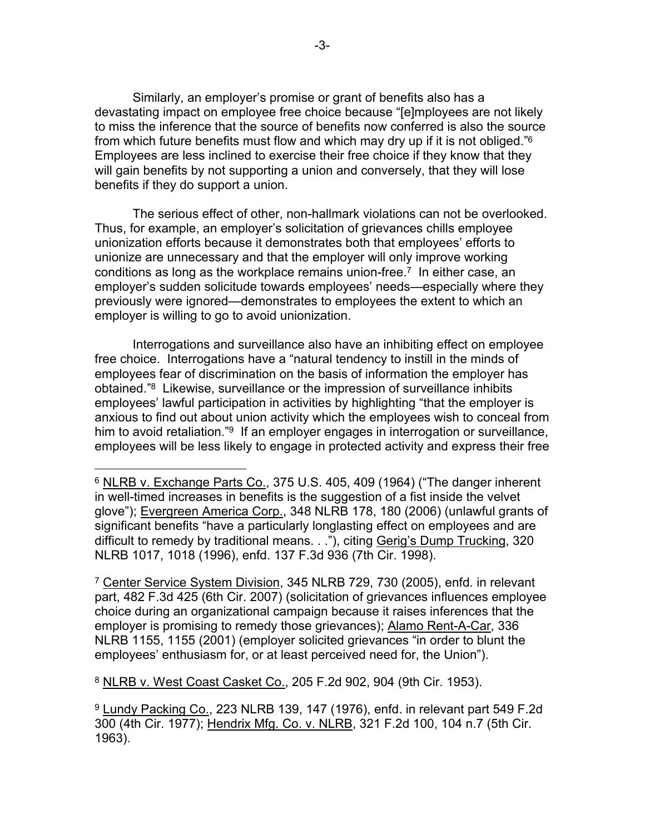Similarly, an employer's promise or grant of benefits also has a devastating impact on employee free choice because "[e]mployees are not likely to miss the inference that the source of benefits now conferred is also the source from which future benefits must flow and which may dry up if it is not obliged." [6](#page-2-0) Employees are less inclined to exercise their free choice if they know that they will gain benefits by not supporting a union and conversely, that they will lose benefits if they do support a union.

The serious effect of other, non-hallmark violations can not be overlooked. Thus, for example, an employer's solicitation of grievances chills employee unionization efforts because it demonstrates both that employees' efforts to unionize are unnecessary and that the employer will only improve working conditions as long as the workplace remains union-free.<sup>[7](#page-2-1)</sup> In either case, an employer's sudden solicitude towards employees' needs—especially where they previously were ignored—demonstrates to employees the extent to which an employer is willing to go to avoid unionization.

Interrogations and surveillance also have an inhibiting effect on employee free choice. Interrogations have a "natural tendency to instill in the minds of employees fear of discrimination on the basis of information the employer has obtained."[8](#page-2-2) Likewise, surveillance or the impression of surveillance inhibits employees' lawful participation in activities by highlighting "that the employer is anxious to find out about union activity which the employees wish to conceal from him to avoid retaliation."<sup>[9](#page-2-3)</sup> If an employer engages in interrogation or surveillance, employees will be less likely to engage in protected activity and express their free

<span id="page-2-0"></span><sup>6</sup> NLRB v. Exchange Parts Co., 375 U.S. 405, 409 (1964) ("The danger inherent in well-timed increases in benefits is the suggestion of a fist inside the velvet glove"); Evergreen America Corp., 348 NLRB 178, 180 (2006) (unlawful grants of significant benefits "have a particularly longlasting effect on employees and are difficult to remedy by traditional means. . ."), citing Gerig's Dump Trucking, 320 NLRB 1017, 1018 (1996), enfd. 137 F.3d 936 (7th Cir. 1998).

<span id="page-2-1"></span><sup>7</sup> Center Service System Division, 345 NLRB 729, 730 (2005), enfd. in relevant part, 482 F.3d 425 (6th Cir. 2007) (solicitation of grievances influences employee choice during an organizational campaign because it raises inferences that the employer is promising to remedy those grievances); Alamo Rent-A-Car, 336 NLRB 1155, 1155 (2001) (employer solicited grievances "in order to blunt the employees' enthusiasm for, or at least perceived need for, the Union").

<span id="page-2-2"></span><sup>8</sup> NLRB v. West Coast Casket Co., 205 F.2d 902, 904 (9th Cir. 1953).

 $\overline{a}$ 

<span id="page-2-3"></span><sup>9</sup> Lundy Packing Co., 223 NLRB 139, 147 (1976), enfd. in relevant part 549 F.2d 300 (4th Cir. 1977); Hendrix Mfg. Co. v. NLRB, 321 F.2d 100, 104 n.7 (5th Cir. 1963).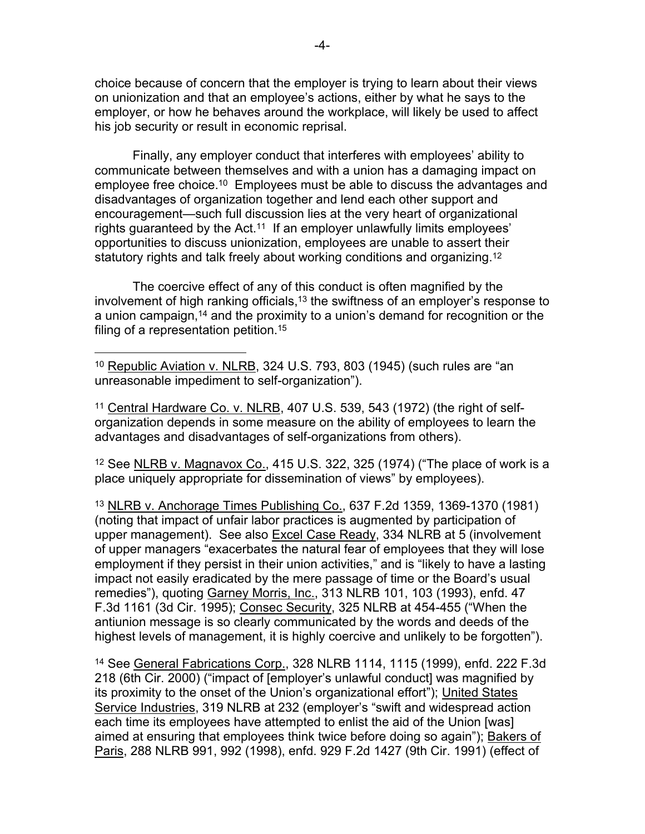choice because of concern that the employer is trying to learn about their views on unionization and that an employee's actions, either by what he says to the employer, or how he behaves around the workplace, will likely be used to affect his job security or result in economic reprisal.

Finally, any employer conduct that interferes with employees' ability to communicate between themselves and with a union has a damaging impact on employee free choice.[10](#page-3-0) Employees must be able to discuss the advantages and disadvantages of organization together and lend each other support and encouragement—such full discussion lies at the very heart of organizational rights guaranteed by the Act.<sup>[11](#page-3-1)</sup> If an employer unlawfully limits employees' opportunities to discuss unionization, employees are unable to assert their statutory rights and talk freely about working conditions and organizing.<sup>[12](#page-3-2)</sup>

The coercive effect of any of this conduct is often magnified by the involvement of high ranking officials,<sup>[13](#page-3-3)</sup> the swiftness of an employer's response to a union campaign,[14](#page-3-4) and the proximity to a union's demand for recognition or the filing of a representation petition.[15](#page-3-2)

<span id="page-3-0"></span><sup>10</sup> Republic Aviation v. NLRB, 324 U.S. 793, 803 (1945) (such rules are "an unreasonable impediment to self-organization").

 $\overline{a}$ 

<span id="page-3-1"></span><sup>11</sup> Central Hardware Co. v. NLRB, 407 U.S. 539, 543 (1972) (the right of selforganization depends in some measure on the ability of employees to learn the advantages and disadvantages of self-organizations from others).

<span id="page-3-2"></span><sup>12</sup> See NLRB v. Magnavox Co., 415 U.S. 322, 325 (1974) ("The place of work is a place uniquely appropriate for dissemination of views" by employees).

<span id="page-3-3"></span><sup>13</sup> NLRB v. Anchorage Times Publishing Co., 637 F.2d 1359, 1369-1370 (1981) (noting that impact of unfair labor practices is augmented by participation of upper management). See also Excel Case Ready, 334 NLRB at 5 (involvement of upper managers "exacerbates the natural fear of employees that they will lose employment if they persist in their union activities," and is "likely to have a lasting impact not easily eradicated by the mere passage of time or the Board's usual remedies"), quoting Garney Morris, Inc., 313 NLRB 101, 103 (1993), enfd. 47 F.3d 1161 (3d Cir. 1995); Consec Security, 325 NLRB at 454-455 ("When the antiunion message is so clearly communicated by the words and deeds of the highest levels of management, it is highly coercive and unlikely to be forgotten").

<span id="page-3-4"></span><sup>14</sup> See General Fabrications Corp., 328 NLRB 1114, 1115 (1999), enfd. 222 F.3d 218 (6th Cir. 2000) ("impact of [employer's unlawful conduct] was magnified by its proximity to the onset of the Union's organizational effort"); United States Service Industries, 319 NLRB at 232 (employer's "swift and widespread action each time its employees have attempted to enlist the aid of the Union [was] aimed at ensuring that employees think twice before doing so again"); Bakers of Paris, 288 NLRB 991, 992 (1998), enfd. 929 F.2d 1427 (9th Cir. 1991) (effect of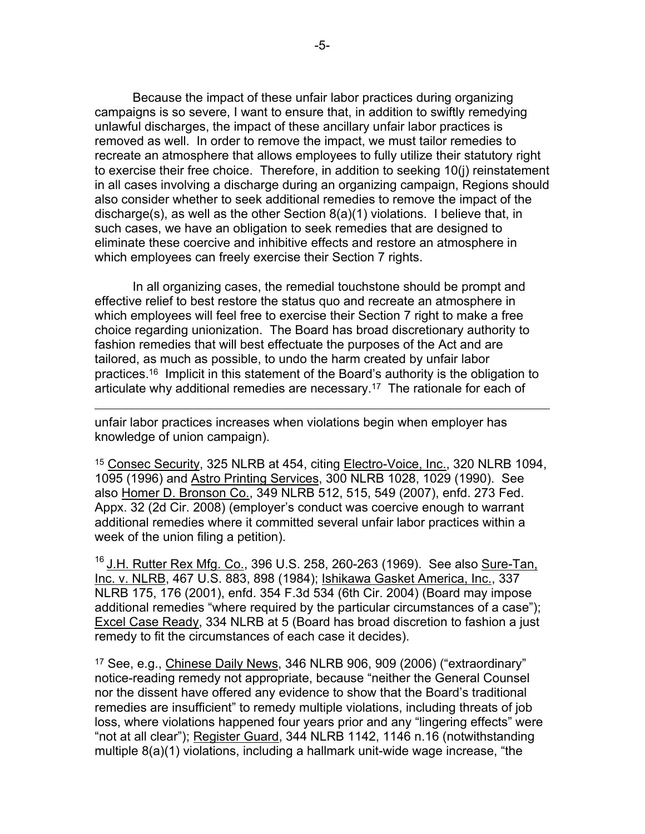Because the impact of these unfair labor practices during organizing campaigns is so severe, I want to ensure that, in addition to swiftly remedying unlawful discharges, the impact of these ancillary unfair labor practices is removed as well. In order to remove the impact, we must tailor remedies to recreate an atmosphere that allows employees to fully utilize their statutory right to exercise their free choice. Therefore, in addition to seeking 10(j) reinstatement in all cases involving a discharge during an organizing campaign, Regions should also consider whether to seek additional remedies to remove the impact of the discharge(s), as well as the other Section 8(a)(1) violations. I believe that, in such cases, we have an obligation to seek remedies that are designed to eliminate these coercive and inhibitive effects and restore an atmosphere in which employees can freely exercise their Section 7 rights.

In all organizing cases, the remedial touchstone should be prompt and effective relief to best restore the status quo and recreate an atmosphere in which employees will feel free to exercise their Section 7 right to make a free choice regarding unionization. The Board has broad discretionary authority to fashion remedies that will best effectuate the purposes of the Act and are tailored, as much as possible, to undo the harm created by unfair labor practices.[16](#page-4-0) Implicit in this statement of the Board's authority is the obligation to articulate why additional remedies are necessary.[17](#page-4-1) The rationale for each of

unfair labor practices increases when violations begin when employer has knowledge of union campaign).

 $\overline{a}$ 

<sup>15</sup> Consec Security, 325 NLRB at 454, citing Electro-Voice, Inc., 320 NLRB 1094, 1095 (1996) and Astro Printing Services, 300 NLRB 1028, 1029 (1990). See also Homer D. Bronson Co., 349 NLRB 512, 515, 549 (2007), enfd. 273 Fed. Appx. 32 (2d Cir. 2008) (employer's conduct was coercive enough to warrant additional remedies where it committed several unfair labor practices within a week of the union filing a petition).

<span id="page-4-0"></span><sup>16</sup> J.H. Rutter Rex Mfg. Co., 396 U.S. 258, 260-263 (1969). See also Sure-Tan, Inc. v. NLRB, 467 U.S. 883, 898 (1984); Ishikawa Gasket America, Inc., 337 NLRB 175, 176 (2001), enfd. 354 F.3d 534 (6th Cir. 2004) (Board may impose additional remedies "where required by the particular circumstances of a case"); Excel Case Ready, 334 NLRB at 5 (Board has broad discretion to fashion a just remedy to fit the circumstances of each case it decides).

<span id="page-4-1"></span><sup>17</sup> See, e.g., Chinese Daily News, 346 NLRB 906, 909 (2006) ("extraordinary" notice-reading remedy not appropriate, because "neither the General Counsel nor the dissent have offered any evidence to show that the Board's traditional remedies are insufficient" to remedy multiple violations, including threats of job loss, where violations happened four years prior and any "lingering effects" were "not at all clear"); Register Guard, 344 NLRB 1142, 1146 n.16 (notwithstanding multiple 8(a)(1) violations, including a hallmark unit-wide wage increase, "the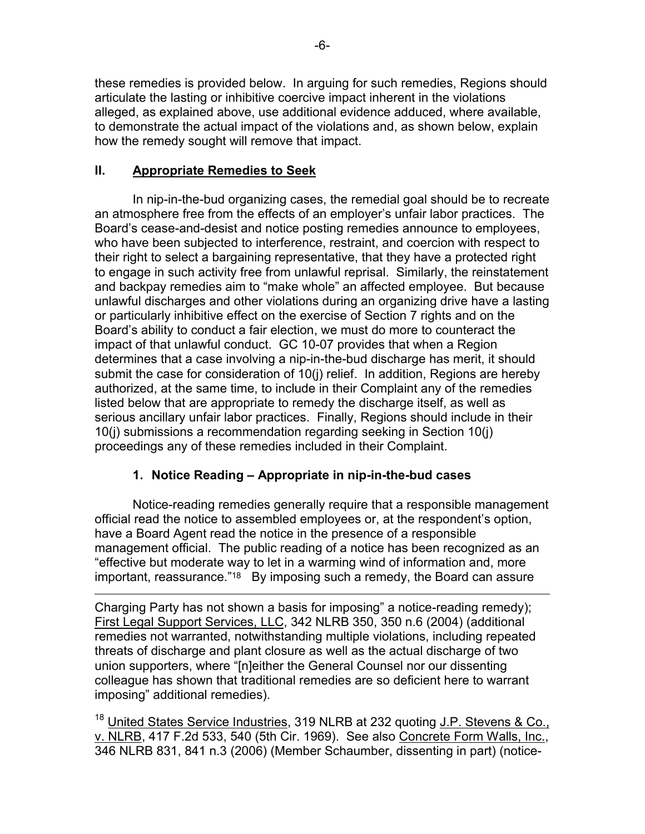these remedies is provided below. In arguing for such remedies, Regions should articulate the lasting or inhibitive coercive impact inherent in the violations alleged, as explained above, use additional evidence adduced, where available, to demonstrate the actual impact of the violations and, as shown below, explain how the remedy sought will remove that impact.

# **II. Appropriate Remedies to Seek**

In nip-in-the-bud organizing cases, the remedial goal should be to recreate an atmosphere free from the effects of an employer's unfair labor practices. The Board's cease-and-desist and notice posting remedies announce to employees, who have been subjected to interference, restraint, and coercion with respect to their right to select a bargaining representative, that they have a protected right to engage in such activity free from unlawful reprisal. Similarly, the reinstatement and backpay remedies aim to "make whole" an affected employee. But because unlawful discharges and other violations during an organizing drive have a lasting or particularly inhibitive effect on the exercise of Section 7 rights and on the Board's ability to conduct a fair election, we must do more to counteract the impact of that unlawful conduct. GC 10-07 provides that when a Region determines that a case involving a nip-in-the-bud discharge has merit, it should submit the case for consideration of 10(j) relief. In addition, Regions are hereby authorized, at the same time, to include in their Complaint any of the remedies listed below that are appropriate to remedy the discharge itself, as well as serious ancillary unfair labor practices. Finally, Regions should include in their 10(j) submissions a recommendation regarding seeking in Section 10(j) proceedings any of these remedies included in their Complaint.

# **1. Notice Reading – Appropriate in nip-in-the-bud cases**

Notice-reading remedies generally require that a responsible management official read the notice to assembled employees or, at the respondent's option, have a Board Agent read the notice in the presence of a responsible management official. The public reading of a notice has been recognized as an "effective but moderate way to let in a warming wind of information and, more important, reassurance."<sup>[18](#page-5-0)</sup> By imposing such a remedy, the Board can assure

 $\overline{a}$ Charging Party has not shown a basis for imposing" a notice-reading remedy); First Legal Support Services, LLC, 342 NLRB 350, 350 n.6 (2004) (additional remedies not warranted, notwithstanding multiple violations, including repeated threats of discharge and plant closure as well as the actual discharge of two union supporters, where "[n]either the General Counsel nor our dissenting colleague has shown that traditional remedies are so deficient here to warrant imposing" additional remedies).

<span id="page-5-0"></span><sup>18</sup> United States Service Industries, 319 NLRB at 232 quoting J.P. Stevens & Co., v. NLRB, 417 F.2d 533, 540 (5th Cir. 1969). See also Concrete Form Walls, Inc., 346 NLRB 831, 841 n.3 (2006) (Member Schaumber, dissenting in part) (notice-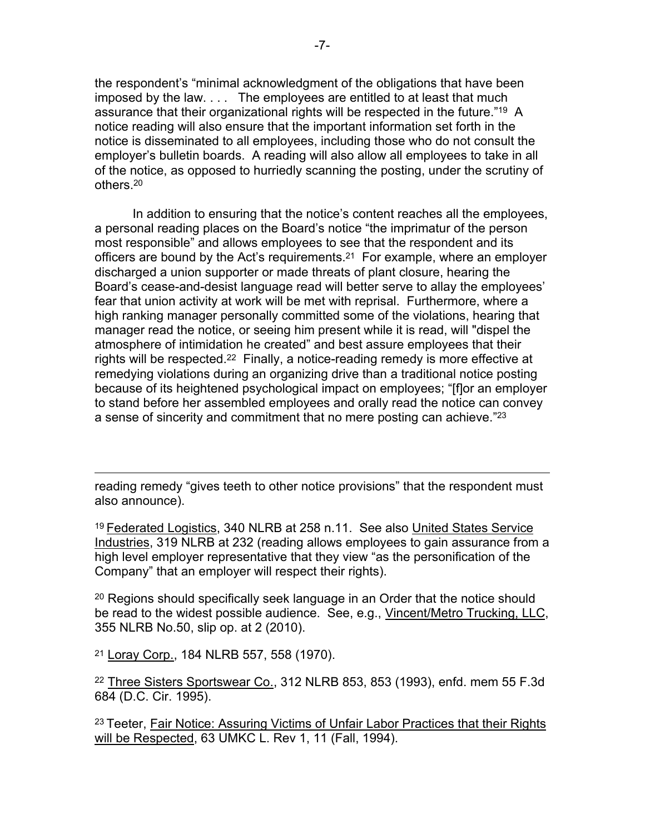the respondent's "minimal acknowledgment of the obligations that have been imposed by the law. . . . The employees are entitled to at least that much assurance that their organizational rights will be respected in the future."[19](#page-6-0) A notice reading will also ensure that the important information set forth in the notice is disseminated to all employees, including those who do not consult the employer's bulletin boards. A reading will also allow all employees to take in all of the notice, as opposed to hurriedly scanning the posting, under the scrutiny of others.[20](#page-6-1)

In addition to ensuring that the notice's content reaches all the employees, a personal reading places on the Board's notice "the imprimatur of the person most responsible" and allows employees to see that the respondent and its officers are bound by the Act's requirements. [21](#page-6-2) For example, where an employer discharged a union supporter or made threats of plant closure, hearing the Board's cease-and-desist language read will better serve to allay the employees' fear that union activity at work will be met with reprisal. Furthermore, where a high ranking manager personally committed some of the violations, hearing that manager read the notice, or seeing him present while it is read, will "dispel the atmosphere of intimidation he created" and best assure employees that their rights will be respected.<sup>[22](#page-6-3)</sup> Finally, a notice-reading remedy is more effective at remedying violations during an organizing drive than a traditional notice posting because of its heightened psychological impact on employees; "[f]or an employer to stand before her assembled employees and orally read the notice can convey a sense of sincerity and commitment that no mere posting can achieve."[23](#page-6-4)

reading remedy "gives teeth to other notice provisions" that the respondent must also announce).

<span id="page-6-0"></span><sup>19</sup> Federated Logistics, 340 NLRB at 258 n.11. See also United States Service Industries, 319 NLRB at 232 (reading allows employees to gain assurance from a high level employer representative that they view "as the personification of the Company" that an employer will respect their rights).

<span id="page-6-1"></span><sup>20</sup> Regions should specifically seek language in an Order that the notice should be read to the widest possible audience. See, e.g., Vincent/Metro Trucking, LLC, 355 NLRB No.50, slip op. at 2 (2010).

<span id="page-6-2"></span><sup>21</sup> Loray Corp., 184 NLRB 557, 558 (1970).

 $\overline{a}$ 

<span id="page-6-3"></span><sup>22</sup> Three Sisters Sportswear Co., 312 NLRB 853, 853 (1993), enfd. mem 55 F.3d 684 (D.C. Cir. 1995).

<span id="page-6-4"></span><sup>23</sup> Teeter, Fair Notice: Assuring Victims of Unfair Labor Practices that their Rights will be Respected, 63 UMKC L. Rev 1, 11 (Fall, 1994).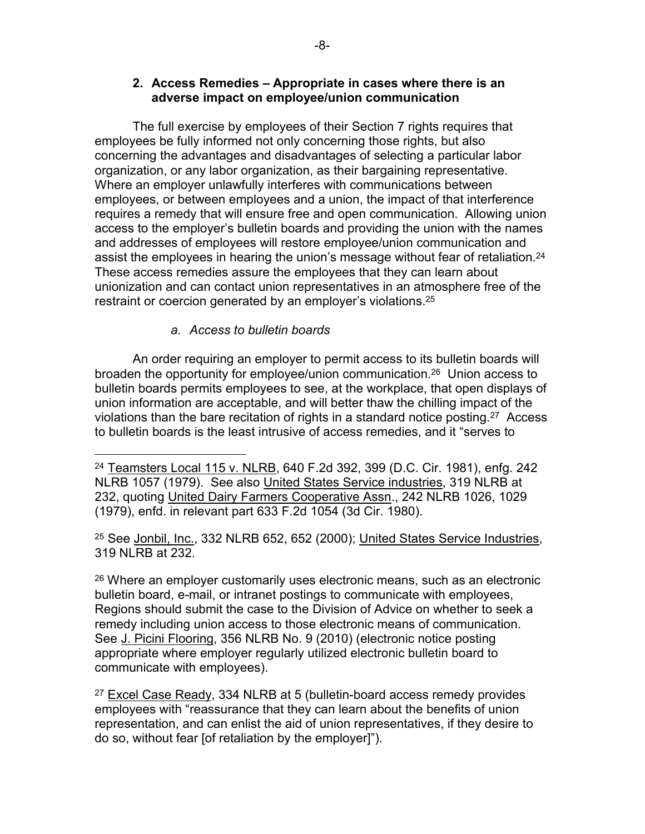#### **2. Access Remedies – Appropriate in cases where there is an adverse impact on employee/union communication**

The full exercise by employees of their Section 7 rights requires that employees be fully informed not only concerning those rights, but also concerning the advantages and disadvantages of selecting a particular labor organization, or any labor organization, as their bargaining representative. Where an employer unlawfully interferes with communications between employees, or between employees and a union, the impact of that interference requires a remedy that will ensure free and open communication. Allowing union access to the employer's bulletin boards and providing the union with the names and addresses of employees will restore employee/union communication and assist the employees in hearing the union's message without fear of retaliation.<sup>[24](#page-7-0)</sup> These access remedies assure the employees that they can learn about unionization and can contact union representatives in an atmosphere free of the restraint or coercion generated by an employer's violations.<sup>[25](#page-7-1)</sup>

### *a. Access to bulletin boards*

 $\overline{a}$ 

An order requiring an employer to permit access to its bulletin boards will broaden the opportunity for employee/union communication.[26](#page-7-2) Union access to bulletin boards permits employees to see, at the workplace, that open displays of union information are acceptable, and will better thaw the chilling impact of the violations than the bare recitation of rights in a standard notice posting.[27](#page-7-3) Access to bulletin boards is the least intrusive of access remedies, and it "serves to

<span id="page-7-1"></span><sup>25</sup> See Jonbil, Inc., 332 NLRB 652, 652 (2000); United States Service Industries, 319 NLRB at 232.

<span id="page-7-2"></span><sup>26</sup> Where an employer customarily uses electronic means, such as an electronic bulletin board, e-mail, or intranet postings to communicate with employees, Regions should submit the case to the Division of Advice on whether to seek a remedy including union access to those electronic means of communication. See J. Picini Flooring, 356 NLRB No. 9 (2010) (electronic notice posting appropriate where employer regularly utilized electronic bulletin board to communicate with employees).

<span id="page-7-3"></span> $27$  Excel Case Ready, 334 NLRB at 5 (bulletin-board access remedy provides employees with "reassurance that they can learn about the benefits of union representation, and can enlist the aid of union representatives, if they desire to do so, without fear [of retaliation by the employer]").

<span id="page-7-0"></span><sup>&</sup>lt;sup>24</sup> Teamsters Local 115 v. NLRB, 640 F.2d 392, 399 (D.C. Cir. 1981), enfg. 242 NLRB 1057 (1979). See also United States Service industries, 319 NLRB at 232, quoting United Dairy Farmers Cooperative Assn., 242 NLRB 1026, 1029 (1979), enfd. in relevant part 633 F.2d 1054 (3d Cir. 1980).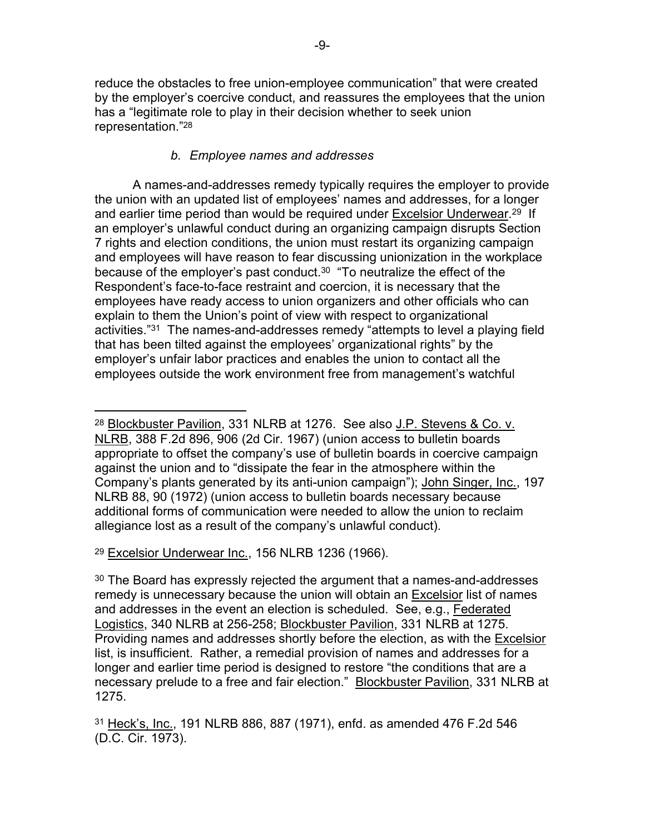reduce the obstacles to free union-employee communication" that were created by the employer's coercive conduct, and reassures the employees that the union has a "legitimate role to play in their decision whether to seek union representation."[28](#page-8-0)

## *b. Employee names and addresses*

A names-and-addresses remedy typically requires the employer to provide the union with an updated list of employees' names and addresses, for a longer and earlier time period than would be required under Excelsior Underwear.<sup>[29](#page-8-1)</sup> If an employer's unlawful conduct during an organizing campaign disrupts Section 7 rights and election conditions, the union must restart its organizing campaign and employees will have reason to fear discussing unionization in the workplace because of the employer's past conduct.[30](#page-8-2) "To neutralize the effect of the Respondent's face-to-face restraint and coercion, it is necessary that the employees have ready access to union organizers and other officials who can explain to them the Union's point of view with respect to organizational activities."[31](#page-8-3) The names-and-addresses remedy "attempts to level a playing field that has been tilted against the employees' organizational rights" by the employer's unfair labor practices and enables the union to contact all the employees outside the work environment free from management's watchful

<span id="page-8-1"></span><sup>29</sup> Excelsior Underwear Inc., 156 NLRB 1236 (1966).

 $\overline{a}$ 

<span id="page-8-0"></span><sup>28</sup> Blockbuster Pavilion, 331 NLRB at 1276. See also J.P. Stevens & Co. v. NLRB, 388 F.2d 896, 906 (2d Cir. 1967) (union access to bulletin boards appropriate to offset the company's use of bulletin boards in coercive campaign against the union and to "dissipate the fear in the atmosphere within the Company's plants generated by its anti-union campaign"); John Singer, Inc., 197 NLRB 88, 90 (1972) (union access to bulletin boards necessary because additional forms of communication were needed to allow the union to reclaim allegiance lost as a result of the company's unlawful conduct).

<span id="page-8-2"></span><sup>30</sup> The Board has expressly rejected the argument that a names-and-addresses remedy is unnecessary because the union will obtain an Excelsior list of names and addresses in the event an election is scheduled. See, e.g., Federated Logistics, 340 NLRB at 256-258; Blockbuster Pavilion, 331 NLRB at 1275. Providing names and addresses shortly before the election, as with the Excelsior list, is insufficient. Rather, a remedial provision of names and addresses for a longer and earlier time period is designed to restore "the conditions that are a necessary prelude to a free and fair election." Blockbuster Pavilion, 331 NLRB at 1275.

<span id="page-8-3"></span><sup>31</sup> Heck's, Inc., 191 NLRB 886, 887 (1971), enfd. as amended 476 F.2d 546 (D.C. Cir. 1973).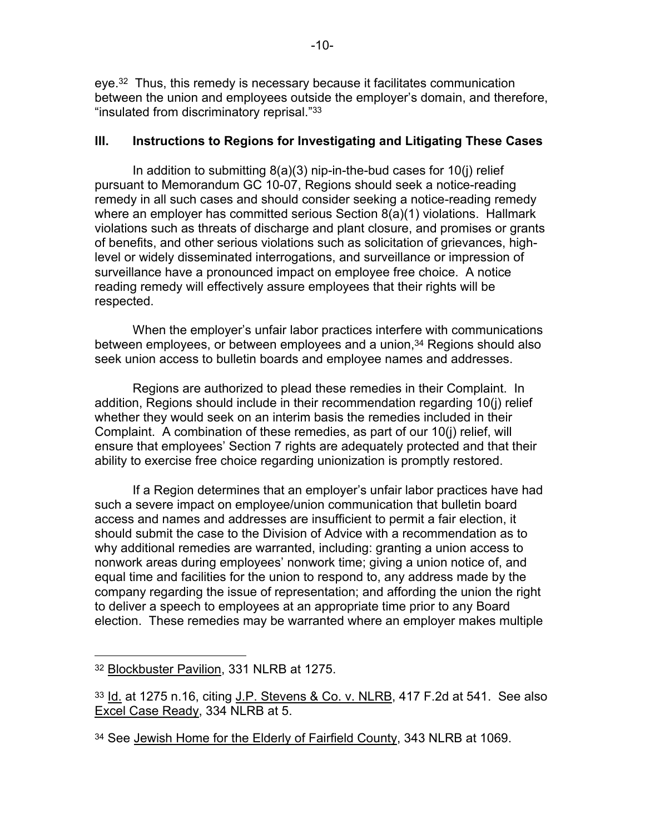eye.[32](#page-9-0) Thus, this remedy is necessary because it facilitates communication between the union and employees outside the employer's domain, and therefore, "insulated from discriminatory reprisal."[33](#page-9-1)

### **III. Instructions to Regions for Investigating and Litigating These Cases**

In addition to submitting 8(a)(3) nip-in-the-bud cases for 10(j) relief pursuant to Memorandum GC 10-07, Regions should seek a notice-reading remedy in all such cases and should consider seeking a notice-reading remedy where an employer has committed serious Section 8(a)(1) violations. Hallmark violations such as threats of discharge and plant closure, and promises or grants of benefits, and other serious violations such as solicitation of grievances, highlevel or widely disseminated interrogations, and surveillance or impression of surveillance have a pronounced impact on employee free choice. A notice reading remedy will effectively assure employees that their rights will be respected.

When the employer's unfair labor practices interfere with communications between employees, or between employees and a union,<sup>[34](#page-9-2)</sup> Regions should also seek union access to bulletin boards and employee names and addresses.

Regions are authorized to plead these remedies in their Complaint. In addition, Regions should include in their recommendation regarding 10(j) relief whether they would seek on an interim basis the remedies included in their Complaint. A combination of these remedies, as part of our 10(j) relief, will ensure that employees' Section 7 rights are adequately protected and that their ability to exercise free choice regarding unionization is promptly restored.

If a Region determines that an employer's unfair labor practices have had such a severe impact on employee/union communication that bulletin board access and names and addresses are insufficient to permit a fair election, it should submit the case to the Division of Advice with a recommendation as to why additional remedies are warranted, including: granting a union access to nonwork areas during employees' nonwork time; giving a union notice of, and equal time and facilities for the union to respond to, any address made by the company regarding the issue of representation; and affording the union the right to deliver a speech to employees at an appropriate time prior to any Board election. These remedies may be warranted where an employer makes multiple

<span id="page-9-0"></span> $\overline{a}$ <sup>32</sup> Blockbuster Pavilion, 331 NLRB at 1275.

<span id="page-9-1"></span><sup>33</sup> Id. at 1275 n.16, citing J.P. Stevens & Co. v. NLRB, 417 F.2d at 541. See also Excel Case Ready, 334 NLRB at 5.

<span id="page-9-2"></span><sup>34</sup> See Jewish Home for the Elderly of Fairfield County, 343 NLRB at 1069.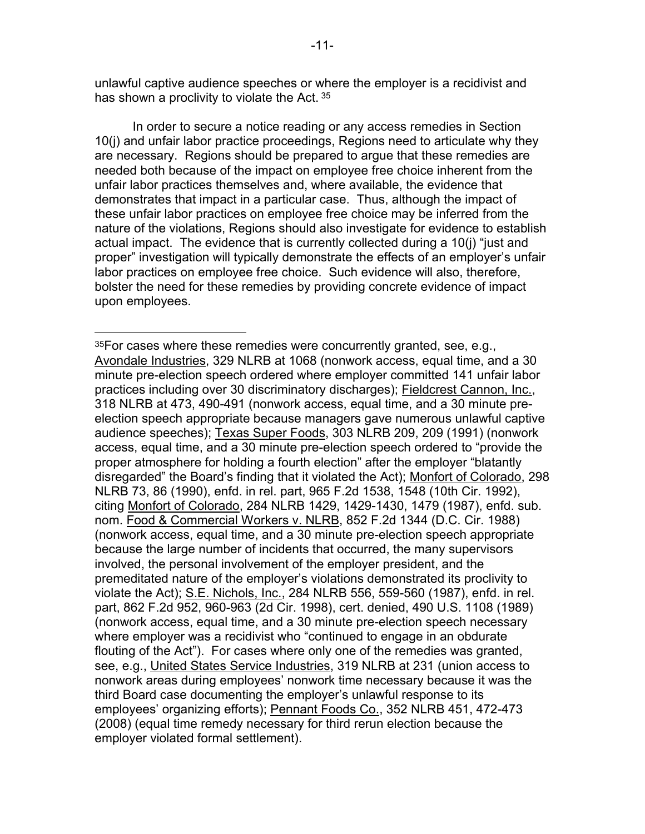unlawful captive audience speeches or where the employer is a recidivist and has shown a proclivity to violate the Act. [35](#page-10-0)

In order to secure a notice reading or any access remedies in Section 10(j) and unfair labor practice proceedings, Regions need to articulate why they are necessary. Regions should be prepared to argue that these remedies are needed both because of the impact on employee free choice inherent from the unfair labor practices themselves and, where available, the evidence that demonstrates that impact in a particular case. Thus, although the impact of these unfair labor practices on employee free choice may be inferred from the nature of the violations, Regions should also investigate for evidence to establish actual impact. The evidence that is currently collected during a 10(j) "just and proper" investigation will typically demonstrate the effects of an employer's unfair labor practices on employee free choice. Such evidence will also, therefore, bolster the need for these remedies by providing concrete evidence of impact upon employees.

 $\overline{a}$ 

<span id="page-10-0"></span> $35$ For cases where these remedies were concurrently granted, see, e.g., Avondale Industries, 329 NLRB at 1068 (nonwork access, equal time, and a 30 minute pre-election speech ordered where employer committed 141 unfair labor practices including over 30 discriminatory discharges); Fieldcrest Cannon, Inc., 318 NLRB at 473, 490-491 (nonwork access, equal time, and a 30 minute preelection speech appropriate because managers gave numerous unlawful captive audience speeches); Texas Super Foods, 303 NLRB 209, 209 (1991) (nonwork access, equal time, and a 30 minute pre-election speech ordered to "provide the proper atmosphere for holding a fourth election" after the employer "blatantly disregarded" the Board's finding that it violated the Act); Monfort of Colorado, 298 NLRB 73, 86 (1990), enfd. in rel. part, 965 F.2d 1538, 1548 (10th Cir. 1992), citing Monfort of Colorado, 284 NLRB 1429, 1429-1430, 1479 (1987), enfd. sub. nom. Food & Commercial Workers v. NLRB, 852 F.2d 1344 (D.C. Cir. 1988) (nonwork access, equal time, and a 30 minute pre-election speech appropriate because the large number of incidents that occurred, the many supervisors involved, the personal involvement of the employer president, and the premeditated nature of the employer's violations demonstrated its proclivity to violate the Act); S.E. Nichols, Inc., 284 NLRB 556, 559-560 (1987), enfd. in rel. part, 862 F.2d 952, 960-963 (2d Cir. 1998), cert. denied, 490 U.S. 1108 (1989) (nonwork access, equal time, and a 30 minute pre-election speech necessary where employer was a recidivist who "continued to engage in an obdurate flouting of the Act"). For cases where only one of the remedies was granted, see, e.g., United States Service Industries, 319 NLRB at 231 (union access to nonwork areas during employees' nonwork time necessary because it was the third Board case documenting the employer's unlawful response to its employees' organizing efforts); Pennant Foods Co., 352 NLRB 451, 472-473 (2008) (equal time remedy necessary for third rerun election because the employer violated formal settlement).